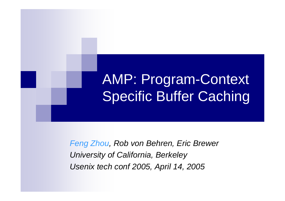# AMP: Program-Context Specific Buffer Caching

*Feng Zhou, Rob von Behren, Eric Brewer University of California, Berkeley Usenix tech conf 2005, April 14, 2005*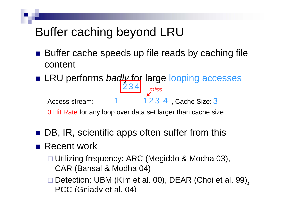## Buffer caching beyond LRU

- Buffer cache speeds up file reads by caching file content
- LRU performs *badly* for large looping accesses Access stream: 1 , Cache Size: 3 123 4 234 *miss*

0 Hit Rate for any loop over data set larger than cache size

■ DB, IR, scientific apps often suffer from this

#### ■ Recent work

- Utilizing frequency: ARC (Megiddo & Modha 03), CAR (Bansal & Modha 04)
- 2□ Detection: UBM (Kim et al. 00), DEAR (Choi et al. 99), PCC (Gniady et al. 04)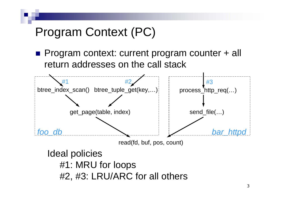## Program Context (PC)

■ Program context: current program counter + all return addresses on the call stack

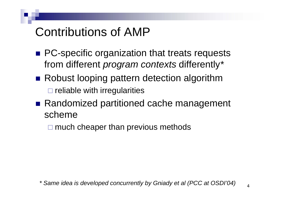## Contributions of AMP

- **PC-specific organization that treats requests** from different *program contexts* differently *\**
- Robust looping pattern detection algorithm  $\square$  reliable with irregularities
- Randomized partitioned cache management scheme

 $\square$  much cheaper than previous methods

*\* Same idea is developed concurrently by Gniady et al (PCC at OSDI'04)*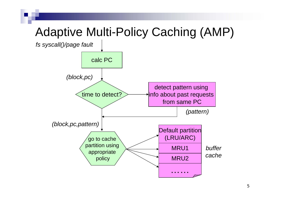## Adaptive Multi-Policy Caching (AMP)

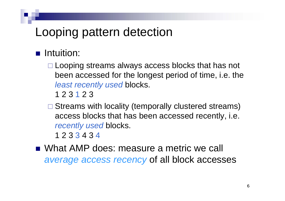### Looping pattern detection

- $\blacksquare$  Intuition:
	- □ Looping streams always access blocks that has not been accessed for the longest period of time, i.e. the *least recently used* blocks.

1 2 3 1 2 3

□ Streams with locality (temporally clustered streams) access blocks that has been accessed recently, i.e. *recently used* blocks.

1 2 3 3 4 3 4

■ What AMP does: measure a metric we call *average access recency* of all block accesses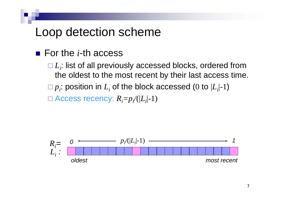### Loop detection scheme

- For the *i*-th access
	- □  $L_i$ : list of all previously accessed blocks, ordered from the oldest to the most recent by their last access time.

 $\Box p_i$ : position in  $L_i$  of the block accessed (0 to  $|L_i|$ -1)

□ Access recency:  $R_i$ = $p_i$ ⁄(| $L_i$ |-1)

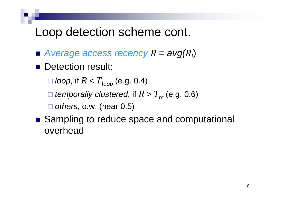### Loop detection scheme cont.

- $\blacksquare$  Average access recency  $R = \textit{avg}(R_i)$
- **Detection result:**

 $\Box$  *loop*, if  $R < T_{loop}$  (e.g. 0.4)

 $\Box$  *temporally clustered*, if  $R > T_{tc}$  (e.g. 0.6)

*others*, o.w. (near 0.5)

■ Sampling to reduce space and computational overhead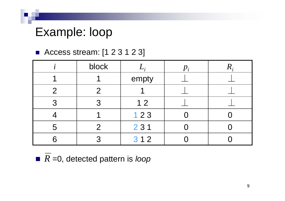### Example: loop

#### ■ Access stream: [1 2 3 1 2 3]

|               | block         | $p_i^-$ |  |  |  |
|---------------|---------------|---------|--|--|--|
|               |               | empty   |  |  |  |
| $\mathcal{P}$ | $\mathcal{P}$ |         |  |  |  |
| 3             | つ             | 12      |  |  |  |
|               |               | 123     |  |  |  |
| 5             | $\mathcal{P}$ | 231     |  |  |  |
|               |               | 312     |  |  |  |

■ *R* =0, detected pattern is *loop*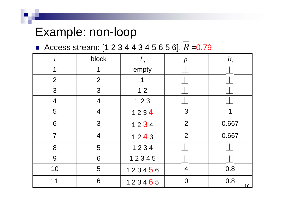### Example: non-loop

■ Access stream: [1 2 3 4 4 3 4 5 6 5 6], R = 0.79

| $\dot{i}$      | block          | $L_i$  | $p_i$          | $R_i$ |  |
|----------------|----------------|--------|----------------|-------|--|
| 1              | 1              | empty  |                |       |  |
| $\overline{2}$ | $\overline{2}$ |        |                |       |  |
| 3              | 3              | $12$   |                |       |  |
| $\overline{4}$ | $\overline{4}$ | $123$  |                |       |  |
| 5              | $\overline{4}$ | 1234   | 3              |       |  |
| 6              | 3              | 1234   | $\overline{2}$ | 0.667 |  |
| $\overline{7}$ | $\overline{4}$ | 1243   | $\overline{2}$ |       |  |
| 8              | 5              | 1234   |                |       |  |
| 9              | 6              | 12345  |                |       |  |
| 10             | 5              | 123456 | $\overline{4}$ |       |  |
| 11             | 6              | 123465 | 0.8            |       |  |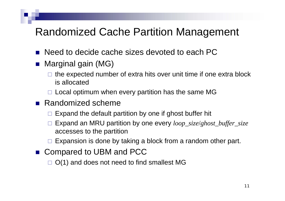#### Randomized Cache Partition Management

- Need to decide cache sizes devoted to each PC
- Marginal gain (MG)
	- $\Box$  the expected number of extra hits over unit time if one extra block is allocated
	- $\square$  Local optimum when every partition has the same MG
- Randomized scheme
	- $\square$  Expand the default partition by one if ghost buffer hit
	- Expand an MRU partition by one every *loop\_size* /*ghost\_buffer\_size* accesses to the partition
	- $\Box$ Expansion is done by taking a block from a random other part.
- Compared to UBM and PCC

 $\Box$  O(1) and does not need to find smallest MG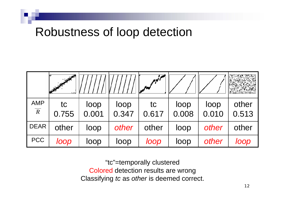### Robustness of loop detection

| <b>AMP</b><br>$\overline{R}$ | tc<br>0.755 | loop<br>0.001 | loop<br>0.347 | tc<br>0.617 | loop<br>0.008 | loop<br>0.010 | other<br>0.513 |
|------------------------------|-------------|---------------|---------------|-------------|---------------|---------------|----------------|
| <b>DEAR</b>                  | other       | loop          | other         | other       | loop          | other         | other          |
| <b>PCC</b>                   | loop        | loop          | loop          | loop        | loop          | other         | loop           |

"tc"=temporally clustered Colored detection results are wrong Classifying *tc* as *other* is deemed correct.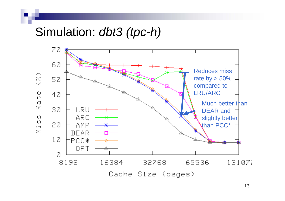#### Simulation: *dbt3 (tpc-h)*